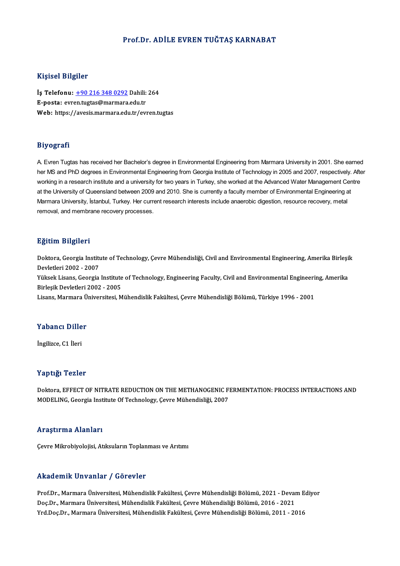### Prof.Dr. ADİLE EVREN TUĞTAŞ KARNABAT

### Kişisel Bilgiler

Kişisel Bilgiler<br>İş Telefonu: <u>+90 216 348 0292</u> Dahili: 264<br>E nosta: evrentustas@marmara.edu.tr 11131001 D1151101<br>İş Telefonu: <u>+90 216 348 0292</u> Dahili:<br>E-posta: evr[en.tugtas@marmara](tel:+90 216 348 0292).edu.tr<br>Web: https://avesis.marmara.edu.tr E-posta: evren.tugtas@marmara.edu.tr<br>Web: https://avesis.marmara.edu.tr/evren.tugtas

### Biyografi

A. Evren Tugtas has received her Bachelor's degree in Environmental Engineering from Marmara University in 2001. She earned her MS and PhD degrees in Environmental Engineering from Georgia Institute of Technology in 2005 and 2007, respectively. After working in a research institute and a university for two years in Turkey, she worked at the Advanced Water Management Centre at the University of Queensland between 2009 and 2010. She is currently a faculty member of Environmental Engineering at Marmara University, İstanbul, Turkey. Her current research interests include anaerobic digestion, resource recovery, metal removal, and membrane recovery processes.

#### Eğitim Bilgileri

**Eğitim Bilgileri**<br>Doktora, Georgia Institute of Technology, Çevre Mühendisliği, Civil and Environmental Engineering, Amerika Birleşik<br>Revlatlari 2002, -2007 ngrem Dirgiter<br>Doktora, Georgia Institu<br>Devletleri 2002 - 2007<br>Välgels Lisans, Georgia Doktora, Georgia Institute of Technology, Çevre Mühendisliği, Civil and Environmental Engineering, Amerika Birleşil<br>Devletleri 2002 - 2007<br>Yüksek Lisans, Georgia Institute of Technology, Engineering Faculty, Civil and Envi

Devletleri 2002 - 2007<br>Yüksek Lisans, Georgia Institute<br>Birleşik Devletleri 2002 - 2005<br>Lisans, Marmara Üniversitesi, M Birleşik Devletleri 2002 - 2005<br>Lisans, Marmara Üniversitesi, Mühendislik Fakültesi, Çevre Mühendisliği Bölümü, Türkiye 1996 - 2001

## Lisans, marmara u<br>Yabancı Diller Y<mark>abancı Dille</mark><br>İngilizce, C1 İleri

# İngilizce, C1 İleri<br>Yaptığı Tezler

Doktora, EFFECT OF NITRATE REDUCTION ON THE METHANOGENIC FERMENTATION: PROCESS INTERACTIONS AND MODELING, Georgia Institute Of Technology, Çevre Mühendisliği, 2007

### Araştırma Alanları

Çevre Mikrobiyolojisi, Atıksuların Toplanması ve Arıtımı

### Akademik Unvanlar / Görevler

Prof.Dr., Marmara Üniversitesi, Mühendislik Fakültesi, Çevre Mühendisliği Bölümü, 2021 - Devam Ediyor rrikudeninik Shrvanidir 7 dörevler<br>Prof.Dr., Marmara Üniversitesi, Mühendislik Fakültesi, Çevre Mühendisliği Bölümü, 2021 - Deval<br>Doç.Dr., Marmara Üniversitesi, Mühendislik Fakültesi, Çevre Mühendisliği Bölümü, 2016 - 2021 Prof.Dr., Marmara Üniversitesi, Mühendislik Fakültesi, Çevre Mühendisliği Bölümü, 2021 - Devam Ec<br>Doç.Dr., Marmara Üniversitesi, Mühendislik Fakültesi, Çevre Mühendisliği Bölümü, 2016 - 2021<br>Yrd.Doç.Dr., Marmara Üniversite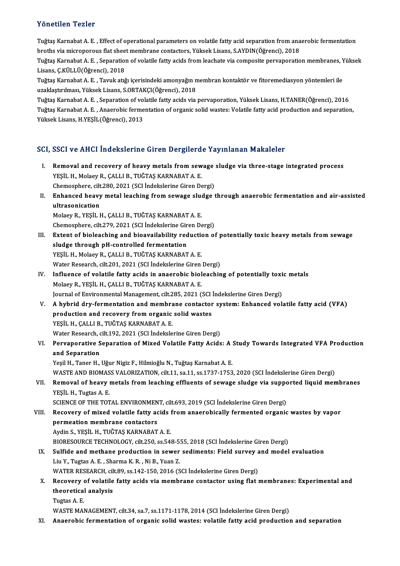### Yönetilen Tezler

Yönetilen Tezler<br>Tuğtaş Karnabat A. E. , Effect of operational parameters on volatile fatty acid separation from anaerobic fermentation<br>hnethe via mismanarove flat sheet membrane sentesters. Vülselt Lisare, S.AVDIN(Öğrensi 1 oncenen 1 carer<br>Tuğtaş Karnabat A. E. , Effect of operational parameters on volatile fatty acid separation from ana<br>broths via microporous flat sheet membrane contactors, Yüksek Lisans, S.AYDIN(Öğrenci), 2018<br>Tuğtaş Karn

broths via microporous flat sheet membrane contactors, Yüksek Lisans, S.AYDIN(Öğrenci), 2018<br>Tuğtaş Karnabat A. E. , Separation of volatile fatty acids from leachate via composite pervaporation membranes, Yüksek Lisans, Ç.KÜLLÜ(Öğrenci), 2018 Tuğtaş Karnabat A. E. , Separation of volatile fatty acids from leachate via composite pervaporation membranes, Y<br>Lisans, Ç.KÜLLÜ(Öğrenci), 2018<br>Tuğtaş Karnabat A. E. , Tavuk atığı içerisindeki amonyağın membran kontaktör

Lisans, Ç.KÜLLÜ(Öğrenci), 2018<br>Tuğtaş Karnabat A. E. , Tavuk atığı içerisindeki amonyağın n<br>uzaklaştırılması, Yüksek Lisans, S.ORTAKÇI(Öğrenci), 2018<br>Tuğtaş Karnabat A. E. , Sanaration of valatile fattu aside via Tuğtaş Karnabat A. E. , Tavuk atığı içerisindeki amonyağın membran kontaktör ve fitoremediasyon yöntemleri ile<br>uzaklaştırılması, Yüksek Lisans, S.ORTAKÇI(Öğrenci), 2018<br>Tuğtaş Karnabat A. E. , Separation of volatile fatty

uzaklaştırılması, Yüksek Lisans, S.ORTAKÇI(Öğrenci), 2018<br>Tuğtaş Karnabat A. E. , Separation of volatile fatty acids via pervaporation, Yüksek Lisans, H.TANER(Öğrenci), 2016<br>Tuğtaş Karnabat A. E. , Anaerobic fermentation o Tuğtaş Karnabat A. E. , Separation of vol<br>Tuğtaş Karnabat A. E. , Anaerobic ferme<br>Yüksek Lisans, H.YEŞİL(Öğrenci), 2013

# Yüksek Lisans, H.YEŞİL(Öğrenci), 2013<br>SCI, SSCI ve AHCI İndekslerine Giren Dergilerde Yayınlanan Makaleler

- CI, SSCI ve AHCI İndekslerine Giren Dergilerde Yayınlanan Makaleler<br>I. Removal and recovery of heavy metals from sewage sludge via three-stage integrated process<br>VESU H. Melasy B. CALLLE, TUČTAS KARNARAT A. E BEST VE TINCI THRENDICI HIC RIN DI DEN BIDIR.<br>Removal and recovery of heavy metals from sew<br>YEŞİL H., Molaey R., ÇALLI B., TUĞTAŞ KARNABAT A. E. Removal and recovery of heavy metals from sewage<br>YEŞİL H., Molaey R., ÇALLI B., TUĞTAŞ KARNABAT A. E.<br>Chemosphere, cilt.280, 2021 (SCI İndekslerine Giren Dergi)<br>Enhansed heavy metal leashing from sewage sludge i YEŞİL H., Molaey R., ÇALLI B., TUĞTAŞ KARNABAT A. E.<br>Chemosphere, cilt.280, 2021 (SCI İndekslerine Giren Dergi)<br>II. Enhanced heavy metal leaching from sewage sludge through anaerobic fermentation and air-assisted<br>ultrasoni
- Chemosphere, cilt<br>Enhanced heavy<br>ultrasonication<br>Molaev P. VESİL L ultrasonication<br>Molaey R., YEŞİL H., ÇALLI B., TUĞTAŞ KARNABAT A. E. ultrasonication<br>Molaey R., YEŞİL H., ÇALLI B., TUĞTAŞ KARNABAT A. E.<br>Chemosphere, cilt.279, 2021 (SCI İndekslerine Giren Dergi)<br>Extent of biologebing and bioquailability reduction oi

- III. Extent of bioleaching and bioavailability reduction of potentially toxic heavy metals from sewage sludge through pH-controlled fermentation Chemosphere, cilt.279, 2021 (SCI İndekslerine Gir<br>Extent of bioleaching and bioavailability red<br>sludge through pH-controlled fermentation<br>VESU H. Molagy B. CALLLE, TUČTAS KARNARAT YEŞİL H., Molaey R., ÇALLI B., TUĞTAŞ KARNABAT A.E. sludge through pH-controlled fermentation<br>YEŞİL H., Molaey R., ÇALLI B., TUĞTAŞ KARNABAT A. E.<br>Water Research, cilt.201, 2021 (SCI İndekslerine Giren Dergi)<br>Influance of velatile fatty eside in anasınabis biolesebin YEŞİL H., Molaey R., ÇALLI B., TUĞTAŞ KARNABAT A. E.<br>Water Research, cilt.201, 2021 (SCI İndekslerine Giren Dergi)<br>IV. Influence of volatile fatty acids in anaerobic bioleaching of potentially toxic metals<br>Molagy B. YESİL
- Water Research, cilt.201, 2021 (SCI İndekslerine Giren<br>Influence of volatile fatty acids in anaerobic biol<br>Molaey R., YEŞİL H., ÇALLI B., TUĞTAŞ KARNABAT A. E.<br>Journal of Environmental Manazement, cilt.295, 2021 ( Influence of volatile fatty acids in anaerobic bioleaching of potentially toxi<br>Molaey R., YEŞİL H., ÇALLI B., TUĞTAŞ KARNABAT A. E.<br>Journal of Environmental Management, cilt.285, 2021 (SCI İndekslerine Giren Dergi)<br>A hybri Molaey R., YEŞİL H., ÇALLI B., TUĞTAŞ KARNABAT A. E.<br>Journal of Environmental Management, cilt.285, 2021 (SCI İndekslerine Giren Dergi)<br>V. A hybrid dry-fermentation and membrane contactor system: Enhanced volatile fatt
- Journal of Environmental Management, cilt.285, 2021 (SCI)<br>A hybrid dry-fermentation and membrane contactor<br>production and recovery from organic solid wastes<br>yrsil H GALLIB TUČTAS KARNABAT A F A hybrid dry-fermentation and membra<br>production and recovery from organic<br>YEŞİL H., ÇALLI B., TUĞTAŞ KARNABAT A. E.<br>Watar Bassarah, silt 192, 2021 (SCLİndelizle production and recovery from organic solid wastes<br>YEŞİL H., ÇALLI B., TUĞTAŞ KARNABAT A. E. Water Research, cilt.192, 2021 (SCI Indekslerine Giren Dergi)
- VI. Pervaporative Separation of Mixed Volatile Fatty Acids: A Study Towards Integrated VFA Production<br>and Separation

Yeşil H., Taner H., Uğur Nigiz F., Hilmioğlu N., Tuğtaş Karnabat A. E. <mark>and Separation</mark><br>Yeşil H., Taner H., Uğur Nigiz F., Hilmioğlu N., Tuğtaş Karnabat A. E.<br>WASTE AND BIOMASS VALORIZATION, cilt.11, sa.11, ss.1737-1753, 2020 (SCI İndekslerine Giren Dergi)<br>Bemeval ef beauv matals from leasbin Yeşil H., Taner H., Uğur Nigiz F., Hilmioğlu N., Tuğtaş Karnabat A. E.<br>WASTE AND BIOMASS VALORIZATION, cilt.11, sa.11, ss.1737-1753, 2020 (SCI İndekslerine Giren Dergi)<br>VII. Removal of heavy metals from leaching efflue

## WASTE AND BIOMAS<br>Removal of heavy<br>YEŞİL H., Tugtas A. E.<br>SCIENCE OF THE TOT Removal of heavy metals from leaching effluents of sewage sludge via supponents<br>SCIENCE OF THE TOTAL ENVIRONMENT, cilt.693, 2019 (SCI İndekslerine Giren Dergi)<br>Besevery of mixed velatile fatty esids from aneonebiselly form

### YEŞİL H., Tugtas A. E.<br>SCIENCE OF THE TOTAL ENVIRONMENT, cilt.693, 2019 (SCI İndekslerine Giren Dergi)<br>VIII. Recovery of mixed volatile fatty acids from anaerobically fermented organic wastes by vapor<br> SCIENCE OF THE TOTAL ENVIRONMEN<br>Recovery of mixed volatile fatty ac<br>permeation membrane contactors<br>Ardin S. VESU H. THĚTAS KARNARAT Recovery of mixed volatile fatty acids !<br>permeation membrane contactors<br>Aydin S., YEŞİL H., TUĞTAŞ KARNABAT A. E.<br>PIOPESQUPCE TECUNOLOCY .silt 250, SS 54. permeation membrane contactors<br>Aydin S., YEŞİL H., TUĞTAŞ KARNABAT A. E.<br>BIORESOURCE TECHNOLOGY, cilt.250, ss.548-555, 2018 (SCI İndekslerine Giren Dergi)<br>Sulfide and methane production in sevyar sedimente: Field survey an Aydin S., YEŞİL H., TUĞTAŞ KARNABAT A. E.<br>BIORESOURCE TECHNOLOGY, cilt.250, ss.548-555, 2018 (SCI İndekslerine Giren Dergi)<br>IX. Sulfide and methane production in sewer sediments: Field survey and model evaluation<br>I.i., Y.

BIORESOURCE TECHNOLOGY, cilt.250, ss.548-5.<br>Sulfide and methane production in sewer<br>Liu Y., Tugtas A. E. , Sharma K. R. , Ni B., Yuan Z.<br>WATER RESEARCH silt 80, ss.142, 150, 2016 (S Sulfide and methane production in sewer sediments: Field survey a<br>Liu Y., Tugtas A. E. , Sharma K. R. , Ni B., Yuan Z.<br>WATER RESEARCH, cilt.89, ss.142-150, 2016 (SCI İndekslerine Giren Dergi)<br>Becevery of valatile fatty asi Liu Y., Tugtas A. E. , Sharma K. R. , Ni B., Yuan Z.<br>WATER RESEARCH, cilt.89, ss.142-150, 2016 (SCI Indekslerine Giren Dergi)<br>X. Recovery of volatile fatty acids via membrane contactor using flat membranes: Experimenta

### WATER RESEARCH, cil<br>Recovery of volatile<br>theoretical analysis<br>Turtes A F Recovery<br>theoretical<br>Tugtas A. E.<br>WASTE MAI theoretical analysis<br>Tugtas A. E.<br>WASTE MANAGEMENT, cilt.34, sa.7, ss.1171-1178, 2014 (SCI İndekslerine Giren Dergi)

XI. Anaerobic fermentation of organic solid wastes: volatile fatty acid production and separation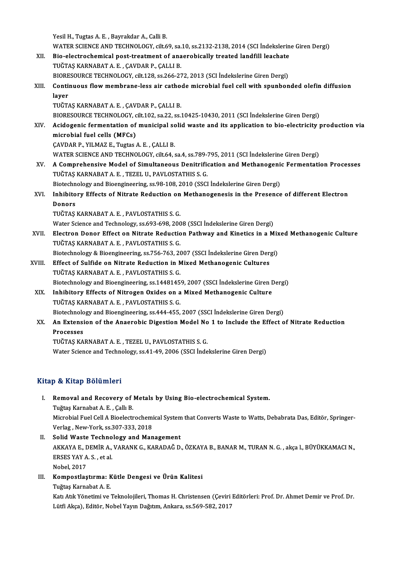Yesil H., Tugtas A. E., Bayrakdar A., Calli B. Yesil H., Tugtas A. E. , Bayrakdar A., Calli B.<br>WATER SCIENCE AND TECHNOLOGY, cilt.69, sa.10, ss.2132-2138, 2014 (SCI İndekslerine Giren Dergi)<br>Bio, electrosbamisel post treatment of anaerabiselly treated landfill leashate Yesil H., Tugtas A. E. , Bayrakdar A., Calli B.<br>WATER SCIENCE AND TECHNOLOGY, cilt.69, sa.10, ss.2132-2138, 2014 (SCI İndekslerin<br>XII. Bio-electrochemical post-treatment of anaerobically treated landfill leachate<br>TUČTAS KA WATER SCIENCE AND TECHNOLOGY, cilt.69, sa.<br>Bio-electrochemical post-treatment of ana<br>TUĞTAŞ KARNABAT A. E. , ÇAVDAR P., ÇALLI B.<br>PIOPESQURCE TECHNOLOGY, silt 138, ss.366,33 Bio-electrochemical post-treatment of anaerobically treated landfill leachate<br>TUĞTAŞ KARNABAT A. E., ÇAVDAR P., ÇALLI B. TUĞTAŞ KARNABAT A. E. , ÇAVDAR P., ÇALLI B.<br>BIORESOURCE TECHNOLOGY, cilt.128, ss.266-272, 2013 (SCI İndekslerine Giren Dergi)<br>XIII. Continuous flow membrane-less air cathode microbial fuel cell with spunbonded olefin d BIORESOURCE TECHNOLOGY, cilt.128, ss.266-272, 2013 (SCI İndekslerine Giren Dergi)<br>Continuous flow membrane-less air cathode microbial fuel cell with spunbor<br>layer<br>TUĞTAŞ KARNABAT A. E., ÇAVDAR P., ÇALLI B. Continuous flow membrane-less air catho<br>layer<br>TUĞTAŞ KARNABAT A.E., ÇAVDAR P., ÇALLI B.<br>PIOPESQUPCE TECHNOLOCY, silt 102, sə 22, sə i BIORESOURCE TECHNOLOGY, cilt.102, sa.22, ss.10425-10430, 2011 (SCI İndekslerine Giren Dergi) TUĞTAŞ KARNABAT A. E. , ÇAVDAR P., ÇALLI B.<br>BIORESOURCE TECHNOLOGY, cilt.102, sa.22, ss.10425-10430, 2011 (SCI İndekslerine Giren Dergi)<br>XIV. Acidogenic fermentation of municipal solid waste and its application to bio-BIORESOURCE TECHNOLOGY, c<br>Acidogenic fermentation of<br>microbial fuel cells (MFCs)<br>CAVDAP P. XII MAZ E. Tugtes Acidogenic fermentation of municipal sc<br>microbial fuel cells (MFCs)<br>ÇAVDAR P., YILMAZ E., Tugtas A. E. , ÇALLI B.<br>WATER SCIENCE AND TECUNOLOCY sit 64.4

microbial fuel cells (MFCs)<br>ÇAVDAR P., YILMAZ E., Tugtas A. E. , ÇALLI B.<br>WATER SCIENCE AND TECHNOLOGY, cilt.64, sa.4, ss.789-795, 2011 (SCI İndekslerine Giren Dergi)

CAVDAR P., YILMAZ E., Tugtas A. E. , CALLI B.<br>WATER SCIENCE AND TECHNOLOGY, cilt.64, sa.4, ss.789-795, 2011 (SCI İndekslerine Giren Dergi)<br>XV. — A Comprehensive Model of Simultaneous Denitrification and Methanogenic Fermen WATER SCIENCE AND TECHNOLOGY, cilt.64, sa.4, ss.789-3<br>A Comprehensive Model of Simultaneous Denitrific<br>TUĞTAŞ KARNABAT A. E. , TEZEL U., PAVLOSTATHIS S. G.<br>Bistechnology and Bioangineouing, ss.08, 109, 2010 (SSCI A Comprehensive Model of Simultaneous Denitrification and Methanogeni<br>TUĞTAŞ KARNABAT A. E. , TEZEL U., PAVLOSTATHIS S. G.<br>Biotechnology and Bioengineering, ss.98-108, 2010 (SSCI İndekslerine Giren Dergi)<br>Inhibitory Effect TUĞTAŞ KARNABAT A. E. , TEZEL U., PAVLOSTATHIS S. G.<br>Biotechnology and Bioengineering, ss.98-108, 2010 (SSCI İndekslerine Giren Dergi)<br>XVI. Inhibitory Effects of Nitrate Reduction on Methanogenesis in the Presence of d

### Biotechn<br>I<mark>nhibito</mark><br>Donors<br>TUČTAS Inhibitory Effects of Nitrate Reduction on<br>Donors<br>TUĞTAŞ KARNABAT A.E., PAVLOSTATHIS S.G.<br>Watar Sajance and Technology se 603,609,200 Donors<br>TUĞTAŞ KARNABAT A. E. , PAVLOSTATHIS S. G.<br>Water Science and Technology, ss.693-698, 2008 (SSCI İndekslerine Giren Dergi)<br>Flastron Donor Effect on Nitrate Bedustion Bathway and Kinetics in a M

- TUĞTAŞ KARNABAT A. E. , PAVLOSTATHIS S. G.<br>Water Science and Technology, ss.693-698, 2008 (SSCI İndekslerine Giren Dergi)<br>XVII. Electron Donor Effect on Nitrate Reduction Pathway and Kinetics in a Mixed Methanogenic Cultur Water Science and Technology, ss.693-698, 200<br>Electron Donor Effect on Nitrate Reductio<br>TUĞTAŞ KARNABAT A. E. , PAVLOSTATHIS S. G.<br>Pistechnology & Piecnginearing *ss.756.763, 20* Electron Donor Effect on Nitrate Reduction Pathway and Kinetics in a Mix<br>TUĞTAŞ KARNABAT A. E. , PAVLOSTATHIS S. G.<br>Biotechnology & Bioengineering, ss.756-763, 2007 (SSCI İndekslerine Giren Dergi)<br>Effect of Sulfide en Nitr
- XVIII. Effect of Sulfide on Nitrate Reduction in Mixed Methanogenic Cultures<br>TUĞTAŞ KARNABAT A. E., PAVLOSTATHIS S. G. Biotechnology & Bioengineering, ss.756-763, 20<br>Effect of Sulfide on Nitrate Reduction in N<br>TUĞTAŞ KARNABAT A.E., PAVLOSTATHIS S.G.<br>Biotechnology and Bioengineering, ss.1449145 Effect of Sulfide on Nitrate Reduction in Mixed Methanogenic Cultures<br>TUĞTAŞ KARNABAT A. E. , PAVLOSTATHIS S. G.<br>Biotechnology and Bioengineering, ss.14481459, 2007 (SSCI İndekslerine Giren Dergi)<br>Inhibitory Effects of Nit
	- XIX. Inhibitory Effects of Nitrogen Oxides on a Mixed Methanogenic Culture<br>TUĞTAŞ KARNABAT A.E., PAVLOSTATHIS S.G. Biotechnology and Bioengineering, ss.1448145<br>Inhibitory Effects of Nitrogen Oxides on a<br>TUĞTAŞ KARNABAT A. E. , PAVLOSTATHIS S. G.<br>Bistechnology and Bioengineering, ss.444,455 Inhibitory Effects of Nitrogen Oxides on a Mixed Methanogenic Culture<br>TUĞTAŞ KARNABAT A. E. , PAVLOSTATHIS S. G.<br>Biotechnology and Bioengineering, ss.444-455, 2007 (SSCI İndekslerine Giren Dergi)<br>An Eytongian of the Angera
	- XX. An Extension of the Anaerobic Digestion Model No 1 to Include the Effect of Nitrate Reduction<br>Processes **Biotechnolo<br>An Extensi<br>Processes<br>TUČTAS VA**

TUĞTAŞKARNABATA.E. ,TEZELU.,PAVLOSTATHIS S.G.

Water Science and Technology, ss.41-49, 2006 (SSCI İndekslerine Giren Dergi)

### Kitap & Kitap Bölümleri

- Itap & Kitap Bölümleri<br>I. Removal and Recovery of Metals by Using Bio-electrochemical System.<br>Tuğtas Karnabat A.E. Callı B Tuğtaş Karnabat<br>Removal and Recovery of<br>Tuğtaş Karnabat A. E. , Çallı B.<br>Microbial Euel Cell A Bioolectr Removal and Recovery of Metals by Using Bio-electrochemical System.<br>Tuğtaş Karnabat A. E. , Çallı B.<br>Microbial Fuel Cell A Bioelectrochemical System that Converts Waste to Watts, Debabrata Das, Editör, Springer-<br>Verlag, Ne Tuğtaş Karnabat A. E. , Çallı B.<br>Microbial Fuel Cell A Bioelectrochemi<br>Verlag , New-York, ss.307-333, 2018<br>Selid Weste Teshnologu and Man Microbial Fuel Cell A Bioelectrochemical System<br>Verlag, New-York, ss.307-333, 2018<br>II. Solid Waste Technology and Management<br>AVYAVA E. DEMIR A VARANY C. KARADAČ D
- Verlag , New-York, ss.307-333, 2018<br>Solid Waste Technology and Management<br>AKKAYA E., DEMİR A., VARANK G., KARADAĞ D., ÖZKAYA B., BANAR M., TURAN N. G. , akça l., BÜYÜKKAMACI N.,<br>ERSES YAY A. S. , et al. Solid Waste Techno<br>AKKAYA E., DEMİR A.,<br>ERSES YAY A. S. , et al.<br>Nebel 2017 Nobel,2017 ERSES YAY A. S. , et al.<br>Nobel, 2017<br>III. Kompostlaştırma: Kütle Dengesi ve Ürün Kalitesi<br>Tuğtaş Kanabat A. E
- Nobel, 2017<br>**Kompostlaştırma: K**<br>Tuğtaş Karnabat A. E.<br>Katı Atık Yönetimi ve i

Tuğtaş Karnabat A. E.<br>Katı Atık Yönetimi ve Teknolojileri, Thomas H. Christensen (Çeviri Editörleri: Prof. Dr. Ahmet Demir ve Prof. Dr. Lütfi Akça), Editör, Nobel Yayın Dağıtım, Ankara, ss.569-582, 2017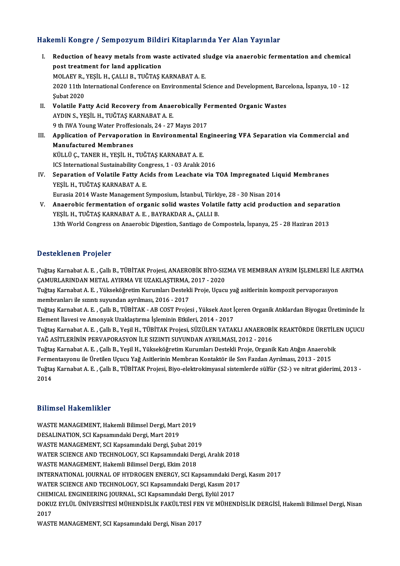### Hakemli Kongre / Sempozyum Bildiri Kitaplarında Yer Alan Yayınlar

akemli Kongre / Sempozyum Bildiri Kitaplarında Yer Alan Yayınlar<br>I. Reduction of heavy metals from waste activated sludge via anaerobic fermentation and chemical<br>nest treatment for land annisation post treatment for land application<br>post treatment for land application<br>MOLAEV B, VESIL H, CALLL B, THČTAS L Reduction of heavy metals from waste activated s<br>post treatment for land application<br>MOLAEY R., YEŞİL H., ÇALLI B., TUĞTAŞ KARNABAT A. E.<br>2020 11th International Conference en Environmental S 1020 post treatment for land application<br>MOLAEY R., YEŞİL H., ÇALLI B., TUĞTAŞ KARNABAT A. E.<br>2020 11th International Conference on Environmental Science and Development, Barcelona, İspanya, 10 - 12<br>Subat 2020 MOLAEY R.,<br>2020 11th In<br>Şubat 2020<br>Volatile Fa 2020 11th International Conference on Environmental Science and Development, Barc<br>
Subat 2020<br>
II. Volatile Fatty Acid Recovery from Anaerobically Fermented Organic Wastes<br>
AVDIN S. VESIL H. THČTAS KARNARAT A. F. Şubat 2020<br>Volatile Fatty Acid Recovery from Anae<br>AYDIN S., YEŞİL H., TUĞTAŞ KARNABAT A. E.<br>9 th UVA Young Water Proffesionala 24, 27 Volatile Fatty Acid Recovery from Anaerobically Fe<br>AYDIN S., YEŞİL H., TUĞTAŞ KARNABAT A. E.<br>9 th IWA Young Water Proffesionals, 24 - 27 Mayıs 2017<br>Annligation of Perusponation in Environmental Fre AYDIN S., YEŞİL H., TUĞTAŞ KARNABAT A. E.<br>9 th IWA Young Water Proffesionals, 24 - 27 Mayıs 2017<br>III. Application of Pervaporation in Environmental Engineering VFA Separation via Commercial and<br>Manufastured Mambranes **9 th IWA Young Water Proffes<br>Application of Pervaporati<br>Manufactured Membranes<br>KÜLLÜ C. TANEP H. VESİL H** Application of Pervaporation in Environmental El<br>Manufactured Membranes<br>KÜLLÜ Ç., TANER H., YEŞİL H., TUĞTAŞ KARNABAT A. E.<br>ICS International Sustainability Congress 1, 03 Aralık 2 Manufactured Membranes<br>KÜLLÜ Ç., TANER H., YEŞİL H., TUĞTAŞ KARNABAT A. E.<br>ICS International Sustainability Congress, 1 - 03 Aralık 2016<br>Senaration of Volatile Fatty Aside from Loashate via 1 KÜLLÜ Ç., TANER H., YEŞİL H., TUĞTAŞ KARNABAT A. E.<br>ICS International Sustainability Congress, 1 - 03 Aralık 2016<br>IV. Separation of Volatile Fatty Acids from Leachate via TOA Impregnated Liquid Membranes<br>YEŞİL H., TUĞT ICS International Sustainability Con<br>Separation of Volatile Fatty Ac<br>YEŞİL H., TUĞTAŞ KARNABAT A. E.<br>Eurosia 2014 Waste Managament S Separation of Volatile Fatty Acids from Leachate via TOA Impregnated Lique<br>YEŞİL H., TUĞTAŞ KARNABAT A. E.<br>Eurasia 2014 Waste Management Symposium, İstanbul, Türkiye, 28 - 30 Nisan 2014<br>Anagrabia formantation of organis so

YEŞİL H., TUĞTAŞ KARNABAT A. E.<br>Eurasia 2014 Waste Management Symposium, İstanbul, Türkiye, 28 - 30 Nisan 2014<br>V. Anaerobic fermentation of organic solid wastes Volatile fatty acid production and separation<br>VESİL U. TUĞTAS Eurasia 2014 Waste Management Symposium, İstanbul, Türki<br>Anaerobic fermentation of organic solid wastes Volati<br>YEŞİL H., TUĞTAŞ KARNABAT A. E. , BAYRAKDAR A., ÇALLI B.<br>12th World Congress on Anaerobis Digestion Sontiago de Anaerobic fermentation of organic solid wastes Volatile fatty acid production and separat<br>YEŞİL H., TUĞTAŞ KARNABAT A. E. , BAYRAKDAR A., ÇALLI B.<br>13th World Congress on Anaerobic Digestion, Santiago de Compostela, İspanya 13th World Congress on Anaerobic Digestion, Santiago de Compostela, İspanya, 25 - 28 Haziran 2013<br>Desteklenen Projeler

Desteklenen Projeler<br>Tuğtaş Karnabat A. E. , Çallı B., TÜBİTAK Projesi, ANAEROBİK BİYO-SIZMA VE MEMBRAN AYRIM İŞLEMLERİ İLE ARITMA<br>SAMIRLARINDAN METAL AYIRMA VE UZAKLASTIRMA 2017, 2020 *–* Oscentenen I Tojeter<br>Tuğtaş Karnabat A. E. , Çallı B., TÜBİTAK Projesi, ANAEROBİK BİYO-SIZ<br>ÇAMURLARINDAN METAL AYIRMA VE UZAKLAŞTIRMA, 2017 - 2020<br>Tuğtaş Karnabat A. E., Vülsaköğretim Kurumları Destakli Proje, Hausu Tuğtaş Karnabat A. E. , Çallı B., TÜBİTAK Projesi, ANAEROBİK BİYO-SIZMA VE MEMBRAN AYRIM İŞLEMLERİ İLE<br>ÇAMURLARINDAN METAL AYIRMA VE UZAKLAŞTIRMA, 2017 - 2020<br>Tuğtaş Karnabat A. E. , Yükseköğretim Kurumları Destekli Proje,

ÇAMURLARINDAN METAL AYIRMA VE UZAKLAŞTIRMA, 2017 - 2020<br>Tuğtaş Karnabat A. E. , Yükseköğretim Kurumları Destekli Proje, Uçucu yağ asitlerinin kompozit pervaporasyon<br>membranları ile sızıntı suyundan ayrılması, 2016 - 2017 Tuğtaş Karnabat A. E. , Yükseköğretim Kurumları Destekli Proje, Uçucu yağ asitlerinin kompozit pervaporasyon<br>membranları ile sızıntı suyundan ayrılması, 2016 - 2017<br>Tuğtaş Karnabat A. E. , Çallı B., TÜBİTAK - AB COST Proje

Element İlavesi ve Amonyak Uzaklaştırma İşleminin Etkileri, 2014 - 2017 Tuğtaş Karnabat A. E. , Çallı B., TÜBİTAK - AB COST Projesi , Yüksek Azot İçeren Organik Atıklardan Biyogaz Üretiminde İz<br>Element İlavesi ve Amonyak Uzaklaştırma İşleminin Etkileri, 2014 - 2017<br>Tuğtaş Karnabat A. E. , Çall

Element İlavesi ve Amonyak Uzaklaştırma İşleminin Etkileri, 2014 - 2017<br>Tuğtaş Karnabat A. E. , Çallı B., Yeşil H., TÜBİTAK Projesi, SÜZÜLEN YATAKLI ANAEROBİ<br>YAĞ ASİTLERİNİN PERVAPORASYON İLE SIZINTI SUYUNDAN AYRILMASI, 20 Tuğtaş Karnabat A. E. , Çallı B., Yeşil H., TÜBİTAK Projesi, SÜZÜLEN YATAKLI ANAEROBİK REAKTÖRDE ÜRETİLI<br>YAĞ ASİTLERİNİN PERVAPORASYON İLE SIZINTI SUYUNDAN AYRILMASI, 2012 - 2016<br>Tuğtaş Karnabat A. E. , Çallı B., Yeşil H.,

YAĞ ASİTLERİNİN PERVAPORASYON İLE SIZINTI SUYUNDAN AYRILMASI, 2012 - 2016<br>Tuğtaş Karnabat A. E. , Çallı B., Yeşil H., Yükseköğretim Kurumları Destekli Proje, Organik Katı Atığın Anaerobik<br>Fermentasyonu ile Üretilen Uçucu Y

Tuğtaş Karnabat A. E. , Çallı B., Yeşil H., Yükseköğretim Kurumları Destekli Proje, Organik Katı Atığın Anaerobik<br>Fermentasyonu ile Üretilen Uçucu Yağ Asitlerinin Membran Kontaktör ile Sıvı Fazdan Ayrılması, 2013 - 2015<br>Tu Ferme<br>Tuğta:<br>2014 2014<br>Bilimsel Hakemlikler

Bilimsel Hakemlikler<br>WASTE MANAGEMENT, Hakemli Bilimsel Dergi, Mart 2019<br>DESALINATION, SCLKansamındaki Dergi, Mart 2010 DIIIIII.001 ITANOIIIIIII.01<br>WASTE MANAGEMENT, Hakemli Bilimsel Dergi, Mart<br>DESALINATION, SCI Kapsamındaki Dergi, Mart 2019<br>WASTE MANACEMENT, SCI Kapsamındaki Dergi, Sub WASTE MANAGEMENT, Hakemli Bilimsel Dergi, Mart 2019<br>DESALINATION, SCI Kapsamındaki Dergi, Mart 2019<br>WASTE MANAGEMENT, SCI Kapsamındaki Dergi, Şubat 2019<br>WATER SCIENCE AND TECHNOLOCY, SCI Kapsamındaki Derg DESALINATION, SCI Kapsamındaki Dergi, Mart 2019<br>WASTE MANAGEMENT, SCI Kapsamındaki Dergi, Şubat 2019<br>WATER SCIENCE AND TECHNOLOGY, SCI Kapsamındaki Dergi, Aralık 2018<br>WASTE MANAGEMENT, Hakemli Bilimsel Dergi, Ekim 2018 WASTE MANAGEMENT, SCI Kapsamındaki Dergi, Şubat 201<br>WATER SCIENCE AND TECHNOLOGY, SCI Kapsamındaki Der<br>WASTE MANAGEMENT, Hakemli Bilimsel Dergi, Ekim 2018<br>INTERNATIONAL JOURNAL OE HYDROCEN ENERCY, SCI Ka WATER SCIENCE AND TECHNOLOGY, SCI Kapsamındaki Dergi, Aralık 2018<br>WASTE MANAGEMENT, Hakemli Bilimsel Dergi, Ekim 2018<br>INTERNATIONAL JOURNAL OF HYDROGEN ENERGY, SCI Kapsamındaki Dergi, Kasım 2017<br>WATER SCIENCE AND TECHNOLOC WASTE MANAGEMENT, Hakemli Bilimsel Dergi, Ekim 2018<br>INTERNATIONAL JOURNAL OF HYDROGEN ENERGY, SCI Kapsamındaki Der<sub>i</sub><br>WATER SCIENCE AND TECHNOLOGY, SCI Kapsamındaki Dergi, Kasım 2017<br>CHEMICAL ENCINEERING JOURNAL, SCI Kapsa INTERNATIONAL JOURNAL OF HYDROGEN ENERGY, SCI Kapsamındaki De<br>WATER SCIENCE AND TECHNOLOGY, SCI Kapsamındaki Dergi, Kasım 201<br>CHEMICAL ENGINEERING JOURNAL, SCI Kapsamındaki Dergi, Eylül 2017<br>DOKUZ EVLÜL ÜNİVERSİTESI MÜHEND WATER SCIENCE AND TECHNOLOGY, SCI Kapsamındaki Dergi, Kasım 2017<br>CHEMICAL ENGINEERING JOURNAL, SCI Kapsamındaki Dergi, Eylül 2017<br>DOKUZ EYLÜL ÜNİVERSİTESİ MÜHENDİSLİK FAKÜLTESİ FEN VE MÜHENDİSLİK DERGİSİ, Hakemli Bilimsel CHEM<br>DOKU<br>2017<br>WAST DOKUZ EYLÜL ÜNİVERSİTESİ MÜHENDİSLİK FAKÜLTESİ FEI<br>2017<br>WASTE MANAGEMENT, SCI Kapsamındaki Dergi, Nisan 2017